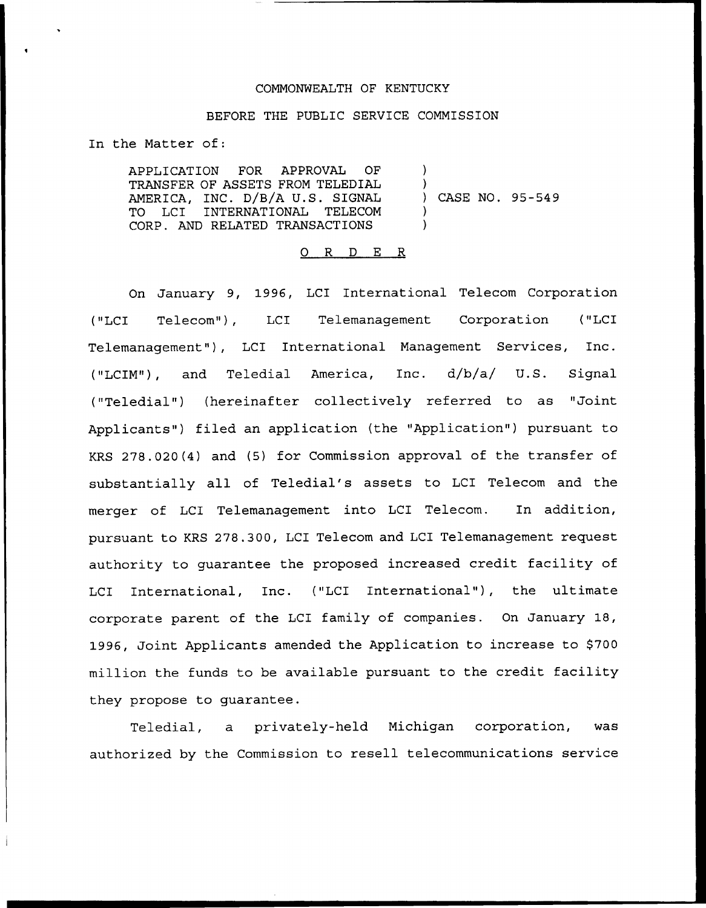## COMMONWEALTH OF KENTUCKY

#### BEFORE THE PUBLIC SERVICE COMMISSION

In the Matter of:

APPLICATION FOR APPROVAL OF TRANSFER OF ASSETS FROM TELEDIAL AMERICA, INC. D/B/A U.S. SIGNAL TO LCI INTERNATIONAL TELECOM CORP. AND RELATED TRANSACTIONS ) ) ) CASE NO. 95-549 ) )

### 0 R <sup>D</sup> E R

On January 9, 1996, LCI International Telecom Corporation ("LCI Telecom"), LCI Telemanagement Corporation ("LCI Telemanagement"), LCI International Management Services, Inc. ("LCIM"), and Teledial America, Inc. d/b/a/ U.S. Signal ("Teledial") (hereinafter collectively referred to as "Joint Applicants") filed an application (the "Application") pursuant to KRS 278.020(4) and (5) for Commission approval of the transfer of substantially all of Teledial's assets to LCI Telecom and the merger of LCI Telemanagement into LCI Telecom. In addition, pursuant to KRS 278.300, LCI Telecom and LCI Telemanagement request authority to guarantee the proposed increased credit facility of LCI International, Inc. ("LCI International"), the ultimate corporate parent of the LCI family of companies. On January 18, 1996, Joint Applicants amended the Application to increase to \$700 million the funds to be available pursuant to the credit facility they propose to guarantee.

Teledial, a privately-held Michigan corporation, was authorized by the Commission to resell telecommunications service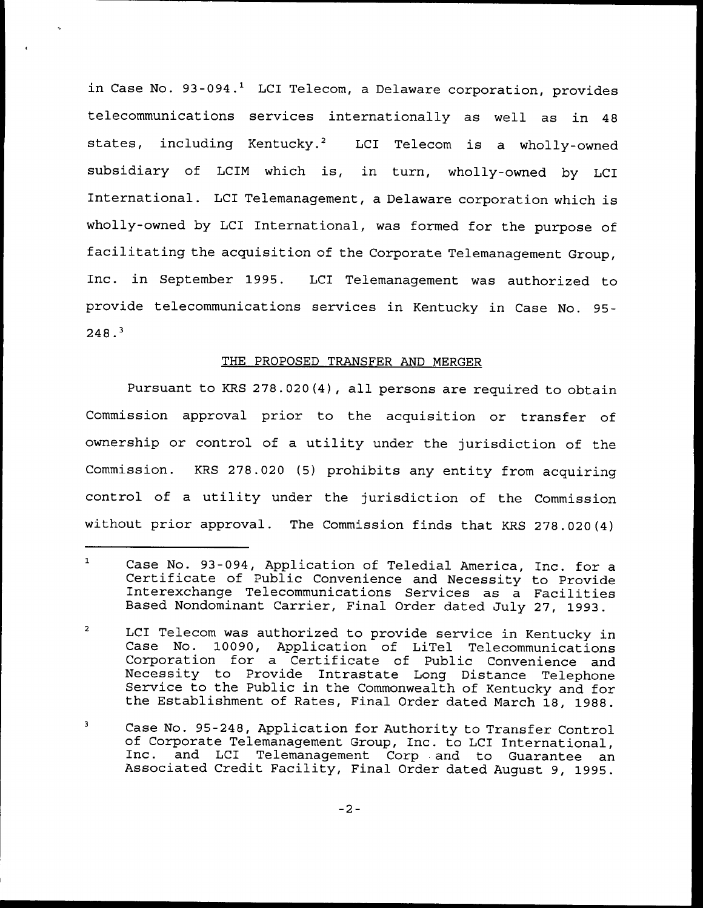in Case No.  $93-094.$ <sup>1</sup> LCI Telecom, a Delaware corporation, provides telecommunications services internationally as well as in 48 states, including Kentucky.<sup>2</sup> LCI Telecom is a wholly-owned subsidiary of LCIM which is, in turn, wholly-owned by LCI International. LCI Telemanagement, a Delaware corporation which is wholly-owned by LCI International, was formed for the purpose of facilitating the acquisition of the Corporate Telemanagement Group, Inc. in September 1995. LCI Telemanagement was authorized to provide telecommunications services in Kentucky in Case No. 95-  $248.3$ 

### THE PROPOSED TRANSFER AND MERGER

Pursuant to KRS 278.020(4), all persons are required to obtain Commission approval prior to the acquisition or transfer of ownership or control of a utility under the jurisdiction of the Commission. KRS 278.020 (5) prohibits any entity from acquiring control of a utility under the jurisdiction of the Commission without prior approval. The Commission finds that KRS 278.020(4)

 $\mathbf{1}$ Case No. 93-094, Application of Teledial America, Inc. for a Certificate of Public Convenience and Necessity to Provide Interexchange Telecommunications Services as a Facilities Based Nondominant Carrier, Final Order dated July 27, 1993.

 $\overline{a}$ LCI Telecom was authorized to provide service in Kentucky in Case No. 10090, Application of LiTel Telecommunications Corporation for a Certificate of Public Convenience and<br>Necessity to Provide Intrastate Long Distance Telephone<br>Service to the Public in the Commonwealth of Kentucky and for<br>the Establishment of Rates, Final Order dated Ma

 $\mathbf 3$ Case No. 95-248, Application for Authority to Transfer Control<br>of Corporate Telemanagement Group, Inc. to LCI International,<br>Inc. and LCI Telemanagement Corp and to Guarantee an<br>Associated Credit Facility, Final Order date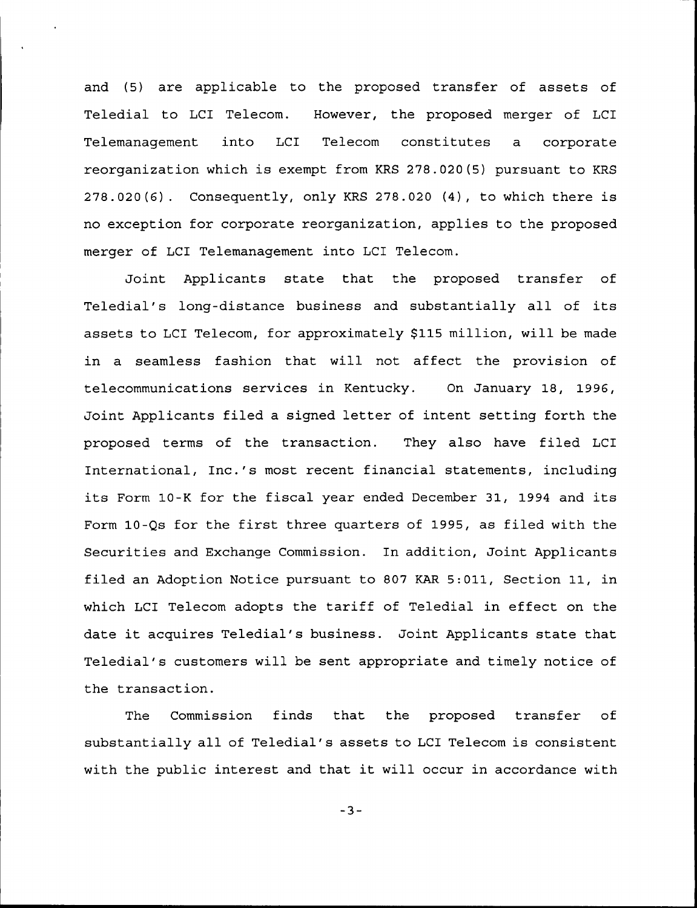and (5) are applicable to the proposed transfer of assets of Teledial to LCI Telecom. However, the proposed merger of LCI Telemanagement into LCI Telecom constitutes a corporate reorganization which is exempt from KRS 278.020(5) pursuant to KRS 278.020(6). Consequently, only KRS 278.020 (4), to which there is no exception for corporate reorganization, applies to the proposed merger of LCI Telemanagement into LCI Telecom.

Joint Applicants state that the proposed transfer of Teledial's long-distance business and substantially all of its assets to LCI Telecom, for approximately \$115 million, will be made in a seamless fashion that will not affect the provision of telecommunications services in Kentucky. On January 18, 1996, Joint Applicants filed a signed letter of intent setting forth the proposed terms of the transaction. They also have filed LCI International, Inc.'s most recent financial statements, including its Form 10-K for the fiscal year ended December 31, 1994 and its Form 10-Qs for the first three quarters of 1995, as filed with the Securities and Exchange Commission. In addition, Joint Applicants filed an Adoption Notice pursuant to 807 KAR 5:011, Section 11, in which LCI Telecom adopts the tariff of Teledial in effect on the date it acquires Teledial's business. Joint Applicants state that Teledial's customers will be sent appropriate and timely notice of the transaction.

The Commission finds that the proposed transfer of substantially all of Teledial's assets to LCI Telecom is consistent with the public interest and that it will occur in accordance with

 $-3-$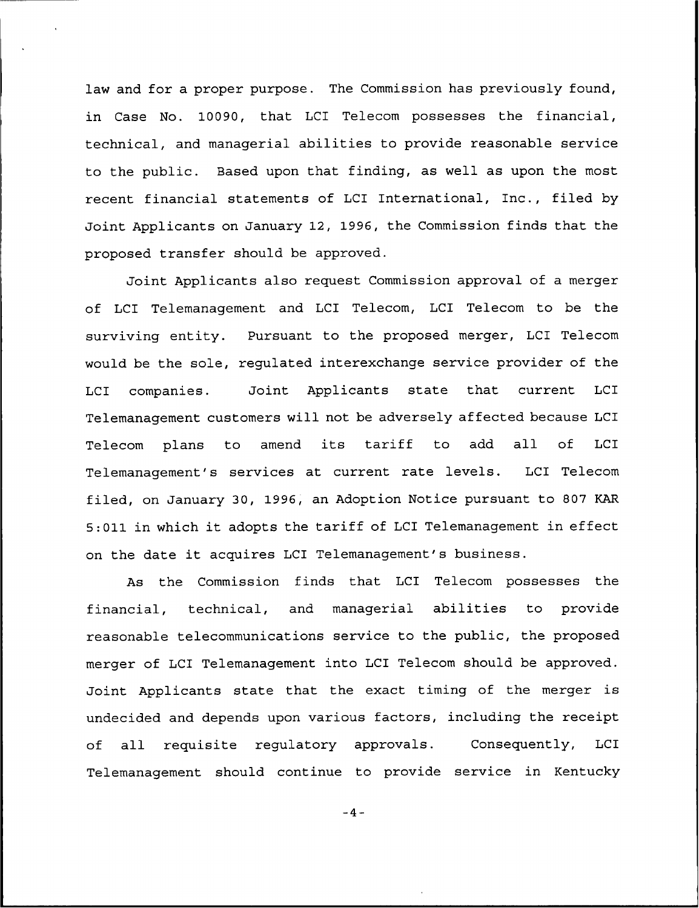law and for a proper purpose. The Commission has previously found, in Case No. 10090, that LCI Telecom possesses the financial, technical, and managerial abilities to provide reasonable service to the public. Based upon that finding, as well as upon the most recent financial statements of LCI International, Inc., filed by Joint Applicants on January 12, 1996, the Commission finds that the proposed transfer should be approved.

Joint Applicants also request Commission approval of a merger of LCI Telemanagement and LCI Telecom, LCI Telecom to be the surviving entity. Pursuant to the proposed merger, LCI Telecom would be the sole, regulated interexchange service provider of the LCI companies. Joint Applicants state that current LCI Telemanagement customers will not be adversely affected because LCI Telecom plans to amend its tariff to add all of LCI Telemanagement's services at current rate levels. LCI Telecom filed, on January 30, 1996, an Adoption Notice pursuant to S07 KAR 5:011 in which it adopts the tariff of LCI Telemanagement in effect on the date it acquires LCI Telemanagement's business.

As the Commission finds that LCI Telecom possesses the financial, technical, and managerial abilities to provide reasonable telecommunications service to the public, the proposed merger of LCI Telemanagement into LCI Telecom should be approved. Joint Applicants state that the exact timing of the merger is undecided and depends upon various factors, including the receipt of all requisite regulatory approvals. Consequently, LCI Telemanagement should continue to provide service in Kentucky

 $-4-$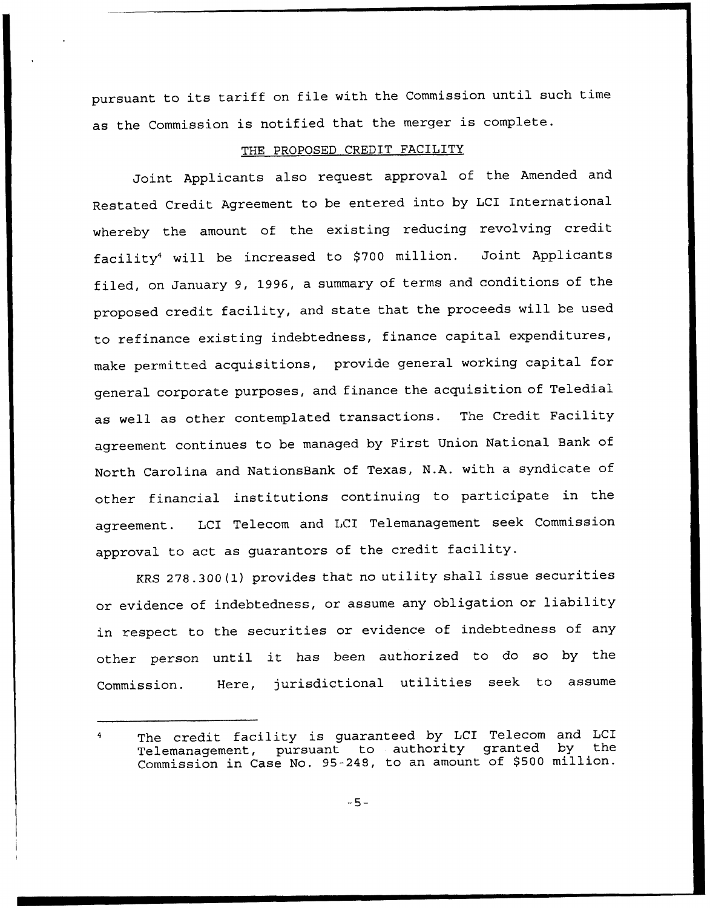pursuant to its tariff on file with the Commission until such time as the Commission is notified that the merger is complete.

# THE PROPOSED CREDIT FACILITY

Joint Applicants also request approval of the Amended and Restated Credit Agreement to be entered into by LCI International whereby the amount of the existing reducing revolving credit facility<sup>4</sup> will be increased to \$700 million. Joint Applicants filed, on January 9, 1996, <sup>a</sup> summary of terms and conditions of the proposed credit facility, and state that the proceeds will be used to refinance existing indebtedness, finance capital expenditures, make permitted acquisitions, provide general working capital for general corporate purposes, and finance the acquisition of Teledial as well as other contemplated transactions. The Credit Facility agreement continues to be managed by First Union National Bank of North Carolina and NationsBank of Texas, N.A. with a syndicate of other financial institutions continuing to participate in the agreement. LCI Telecom and LCI Telemanagement seek Commission approval to act as guarantors of the credit facility.

KRS 278.300(l) provides that no utility shall issue securities or evidence of indebtedness, or assume any obligation or liability in respect to the securities or evidence of indebtedness of any other person until it has been authorized to do so by the Commission. Here, jurisdictional utilities seek to assume

 $-5-$ 

The credit facility is guaranteed by LCI Telecom and LCI<br>Telemanagement, pursuant to authority granted by the 4 Telemanagement, pursuant to authority granted Commission in Case No. 95-248, to an amount of \$500 million.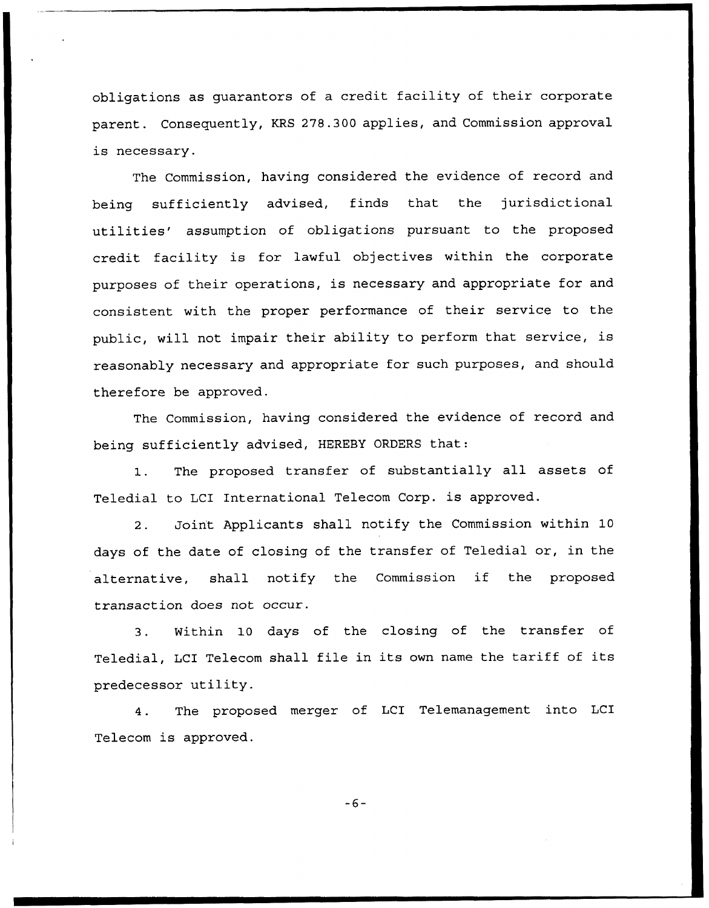obligations as guarantors of a credit facility of their corporate parent. Consequently, KRS 278.300 applies, and Commission approval is necessary.

The Commission, having considered the evidence of record and being sufficiently advised, finds that the jurisdictional utilities' assumption of obligations pursuant to the proposed credit facility is for lawful objectives within the corporate purposes of their operations, is necessary and appropriate for and consistent with the proper performance of their service to the public, will not impair their ability to perform that service, is reasonably necessary and appropriate for such purposes, and should therefore be approved.

The Commission, having considered the evidence of record and being sufficiently advised, HEREBY ORDERS that:

1. The proposed transfer of substantially all assets of Teledial to LCI International Telecom Corp. is approved.

2. Joint Applicants shall notify the Commission within 10 days of the date of closing of the transfer of Teledial or, in the alternative, shall notify the Commission if the proposed transaction does not occur.

3. Within 10 days of the closing of the transfer of Teledial, LCI Telecom shall file in its own name the tariff of its predecessor utility.

4. The proposed merger of LCI Telemanagement into LCI Telecom is approved.

 $-6-$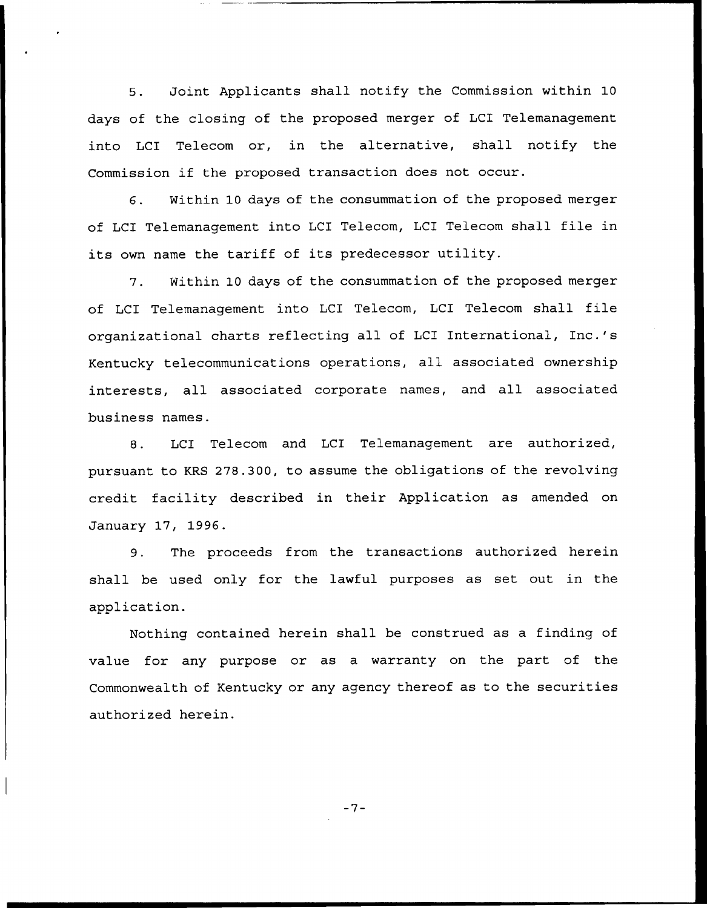5. Joint Applicants shall notify the Commission within 10 days of the closing of the proposed merger of LCI Telemanagement into LCI Telecom or, in the alternative, shall notify the Commission if the proposed transaction does not occur.

6. Within 10 days of the consummation of the proposed merger of LCI Telemanagement into LCI Telecom, LCI Telecom shall file in its own name the tariff of its predecessor utility.

7. Within 10 days of the consummation of the proposed merger of LCI Telemanagement into LCI Telecom, LCI Telecom shall file organizational charts reflecting all of LCI International, Inc.'s Kentucky telecommunications operations, all associated ownership interests, all associated corporate names, and all associated business names.

8. LCI Telecom and LCI Telemanagement are authorized, pursuant to KRS 278.300, to assume the obligations of the revolving credit facility described in their Application as amended on January 17, 1996.

9. The proceeds from the transactions authorized herein shall be used only for the lawful purposes as set out in the application.

Nothing contained herein shall be construed as a finding of value for any purpose or as a warranty on the part of the Commonwealth of Kentucky or any agency thereof as to the securities authorized herein.

 $-7-$